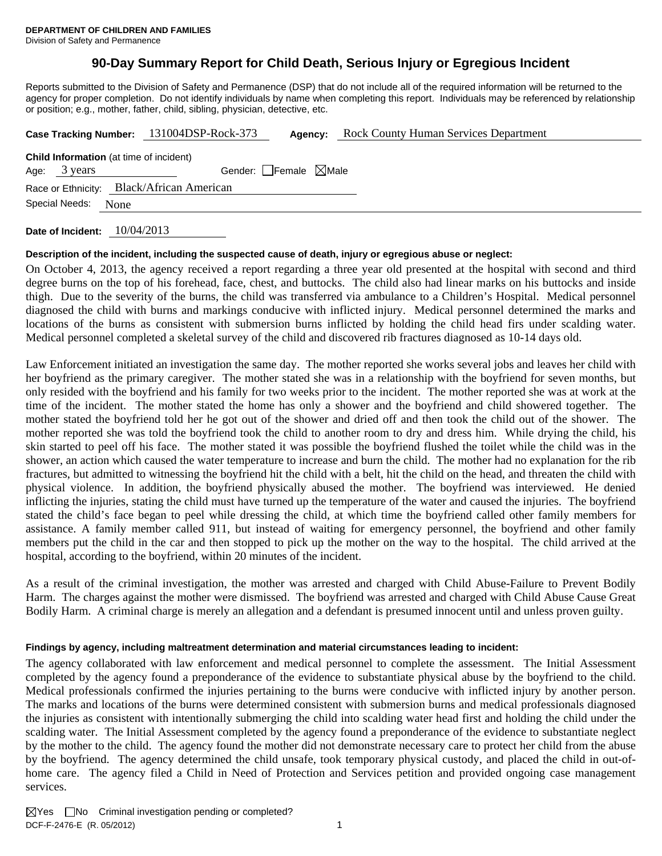## **90-Day Summary Report for Child Death, Serious Injury or Egregious Incident**

Reports submitted to the Division of Safety and Permanence (DSP) that do not include all of the required information will be returned to the agency for proper completion. Do not identify individuals by name when completing this report. Individuals may be referenced by relationship or position; e.g., mother, father, child, sibling, physician, detective, etc.

|                                                                     | Case Tracking Number: 131004DSP-Rock-373 | Agency:                         | <b>Rock County Human Services Department</b> |  |  |  |  |
|---------------------------------------------------------------------|------------------------------------------|---------------------------------|----------------------------------------------|--|--|--|--|
| <b>Child Information</b> (at time of incident)<br>Age: 3 years      |                                          | Gender: Female $\boxtimes$ Male |                                              |  |  |  |  |
| Race or Ethnicity: Black/African American<br>Special Needs:<br>None |                                          |                                 |                                              |  |  |  |  |
|                                                                     |                                          |                                 |                                              |  |  |  |  |

**Date of Incident:** 10/04/2013

#### **Description of the incident, including the suspected cause of death, injury or egregious abuse or neglect:**

On October 4, 2013, the agency received a report regarding a three year old presented at the hospital with second and third degree burns on the top of his forehead, face, chest, and buttocks. The child also had linear marks on his buttocks and inside thigh. Due to the severity of the burns, the child was transferred via ambulance to a Children's Hospital. Medical personnel diagnosed the child with burns and markings conducive with inflicted injury. Medical personnel determined the marks and locations of the burns as consistent with submersion burns inflicted by holding the child head firs under scalding water. Medical personnel completed a skeletal survey of the child and discovered rib fractures diagnosed as 10-14 days old.

Law Enforcement initiated an investigation the same day. The mother reported she works several jobs and leaves her child with her boyfriend as the primary caregiver. The mother stated she was in a relationship with the boyfriend for seven months, but only resided with the boyfriend and his family for two weeks prior to the incident. The mother reported she was at work at the time of the incident. The mother stated the home has only a shower and the boyfriend and child showered together. The mother stated the boyfriend told her he got out of the shower and dried off and then took the child out of the shower. The mother reported she was told the boyfriend took the child to another room to dry and dress him. While drying the child, his skin started to peel off his face. The mother stated it was possible the boyfriend flushed the toilet while the child was in the shower, an action which caused the water temperature to increase and burn the child. The mother had no explanation for the rib fractures, but admitted to witnessing the boyfriend hit the child with a belt, hit the child on the head, and threaten the child with physical violence. In addition, the boyfriend physically abused the mother. The boyfriend was interviewed. He denied inflicting the injuries, stating the child must have turned up the temperature of the water and caused the injuries. The boyfriend stated the child's face began to peel while dressing the child, at which time the boyfriend called other family members for assistance. A family member called 911, but instead of waiting for emergency personnel, the boyfriend and other family members put the child in the car and then stopped to pick up the mother on the way to the hospital. The child arrived at the hospital, according to the boyfriend, within 20 minutes of the incident.

As a result of the criminal investigation, the mother was arrested and charged with Child Abuse-Failure to Prevent Bodily Harm. The charges against the mother were dismissed. The boyfriend was arrested and charged with Child Abuse Cause Great Bodily Harm. A criminal charge is merely an allegation and a defendant is presumed innocent until and unless proven guilty.

#### **Findings by agency, including maltreatment determination and material circumstances leading to incident:**

The agency collaborated with law enforcement and medical personnel to complete the assessment. The Initial Assessment completed by the agency found a preponderance of the evidence to substantiate physical abuse by the boyfriend to the child. Medical professionals confirmed the injuries pertaining to the burns were conducive with inflicted injury by another person. The marks and locations of the burns were determined consistent with submersion burns and medical professionals diagnosed the injuries as consistent with intentionally submerging the child into scalding water head first and holding the child under the scalding water. The Initial Assessment completed by the agency found a preponderance of the evidence to substantiate neglect by the mother to the child. The agency found the mother did not demonstrate necessary care to protect her child from the abuse by the boyfriend. The agency determined the child unsafe, took temporary physical custody, and placed the child in out-ofhome care. The agency filed a Child in Need of Protection and Services petition and provided ongoing case management services.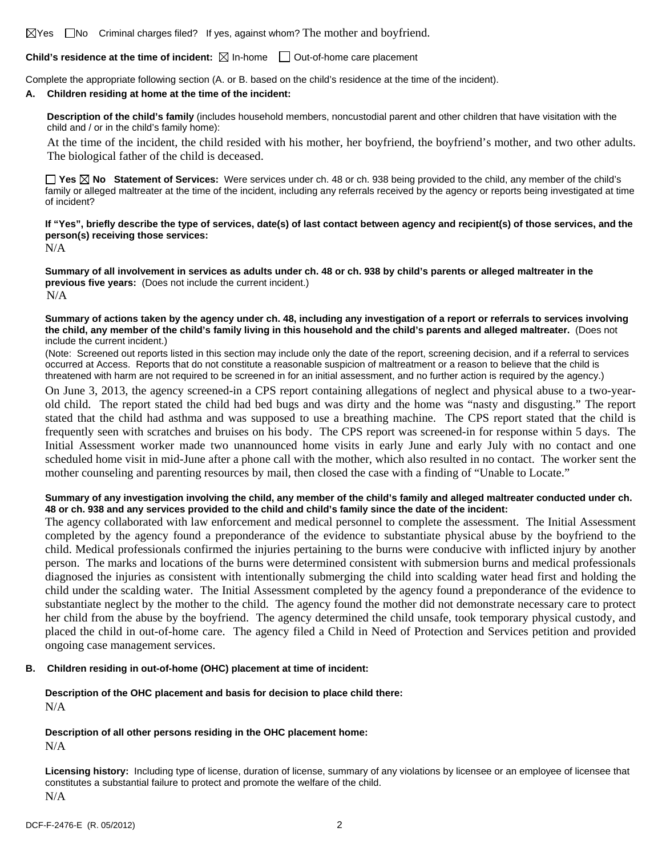$\boxtimes$  Yes  $\Box$  No Criminal charges filed? If yes, against whom? The mother and boyfriend.

#### **Child's residence at the time of incident:**  $\boxtimes$  In-home  $\Box$  Out-of-home care placement

Complete the appropriate following section (A. or B. based on the child's residence at the time of the incident).

#### **A. Children residing at home at the time of the incident:**

**Description of the child's family** (includes household members, noncustodial parent and other children that have visitation with the child and / or in the child's family home):

 At the time of the incident, the child resided with his mother, her boyfriend, the boyfriend's mother, and two other adults. The biological father of the child is deceased.

**Yes No Statement of Services:** Were services under ch. 48 or ch. 938 being provided to the child, any member of the child's family or alleged maltreater at the time of the incident, including any referrals received by the agency or reports being investigated at time of incident?

## **If "Yes", briefly describe the type of services, date(s) of last contact between agency and recipient(s) of those services, and the person(s) receiving those services:**

N/A

**Summary of all involvement in services as adults under ch. 48 or ch. 938 by child's parents or alleged maltreater in the previous five years:** (Does not include the current incident.) N/A

#### **Summary of actions taken by the agency under ch. 48, including any investigation of a report or referrals to services involving the child, any member of the child's family living in this household and the child's parents and alleged maltreater.** (Does not include the current incident.)

(Note: Screened out reports listed in this section may include only the date of the report, screening decision, and if a referral to services occurred at Access. Reports that do not constitute a reasonable suspicion of maltreatment or a reason to believe that the child is threatened with harm are not required to be screened in for an initial assessment, and no further action is required by the agency.)

On June 3, 2013, the agency screened-in a CPS report containing allegations of neglect and physical abuse to a two-yearold child. The report stated the child had bed bugs and was dirty and the home was "nasty and disgusting." The report stated that the child had asthma and was supposed to use a breathing machine. The CPS report stated that the child is frequently seen with scratches and bruises on his body. The CPS report was screened-in for response within 5 days. The Initial Assessment worker made two unannounced home visits in early June and early July with no contact and one scheduled home visit in mid-June after a phone call with the mother, which also resulted in no contact. The worker sent the mother counseling and parenting resources by mail, then closed the case with a finding of "Unable to Locate."

#### **Summary of any investigation involving the child, any member of the child's family and alleged maltreater conducted under ch. 48 or ch. 938 and any services provided to the child and child's family since the date of the incident:**

The agency collaborated with law enforcement and medical personnel to complete the assessment. The Initial Assessment completed by the agency found a preponderance of the evidence to substantiate physical abuse by the boyfriend to the child. Medical professionals confirmed the injuries pertaining to the burns were conducive with inflicted injury by another person. The marks and locations of the burns were determined consistent with submersion burns and medical professionals diagnosed the injuries as consistent with intentionally submerging the child into scalding water head first and holding the child under the scalding water. The Initial Assessment completed by the agency found a preponderance of the evidence to substantiate neglect by the mother to the child. The agency found the mother did not demonstrate necessary care to protect her child from the abuse by the boyfriend. The agency determined the child unsafe, took temporary physical custody, and placed the child in out-of-home care. The agency filed a Child in Need of Protection and Services petition and provided ongoing case management services.

#### **B. Children residing in out-of-home (OHC) placement at time of incident:**

#### **Description of the OHC placement and basis for decision to place child there:** N/A

# **Description of all other persons residing in the OHC placement home:**

N/A

**Licensing history:** Including type of license, duration of license, summary of any violations by licensee or an employee of licensee that constitutes a substantial failure to protect and promote the welfare of the child. N/A